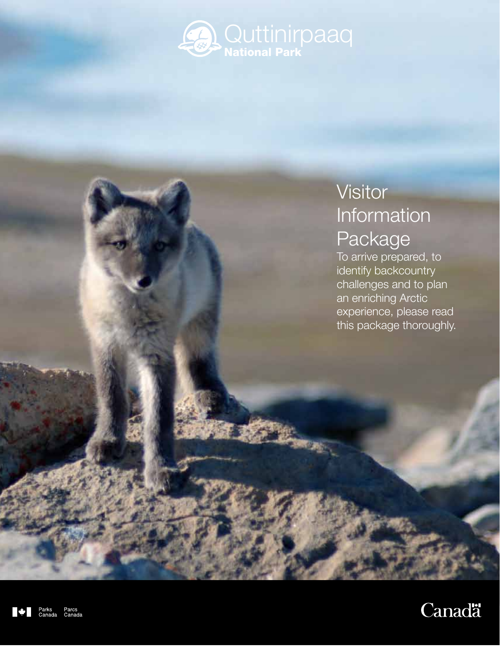

# **Visitor** Information Package

To arrive prepared, to identify backcountry challenges and to plan an enriching Arctic experience, please read this package thoroughly.



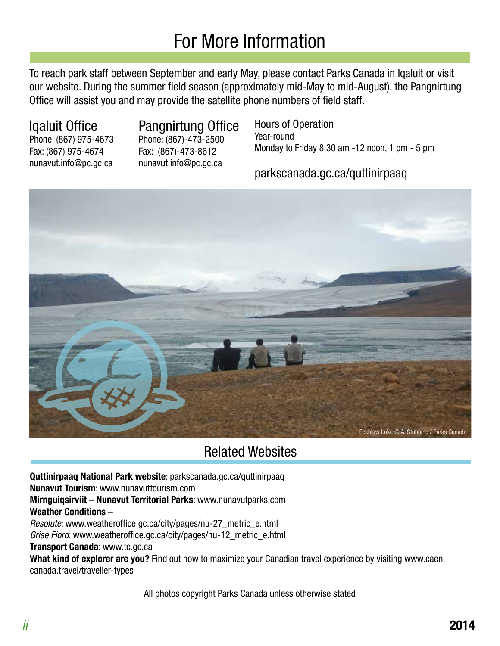# For More Information

To reach park staff between September and early May, please contact Parks Canada in Iqaluit or visit our website. During the summer field season (approximately mid-May to mid-August), the Pangnirtung Office will assist you and may provide the satellite phone numbers of field staff.

Fax: (867) 975-4674 Fax: (867)-473-8612

# Iqaluit Office Pangnirtung Office

Phone: (867) 975-4673 Phone: (867)-473-2500 nunavut.info@pc.gc.ca nunavut.info@pc.gc.ca

Hours of Operation Year-round Monday to Friday 8:30 am -12 noon, 1 pm - 5 pm

# parkscanada.gc.ca/quttinirpaaq



# Related Websites

**Quttinirpaaq National Park website**: parkscanada.gc.ca/quttinirpaaq **Nunavut Tourism**: www.nunavuttourism.com **Mirnguiqsirviit – Nunavut Territorial Parks**: www.nunavutparks.com **Weather Conditions –** Resolute: www.weatheroffice.gc.ca/city/pages/nu-27\_metric\_e.html Grise Fiord: www.weatheroffice.gc.ca/city/pages/nu-12\_metric\_e.html

**Transport Canada**: www.tc.gc.ca

**What kind of explorer are you?** Find out how to maximize your Canadian travel experience by visiting www.caen. canada.travel/traveller-types

All photos copyright Parks Canada unless otherwise stated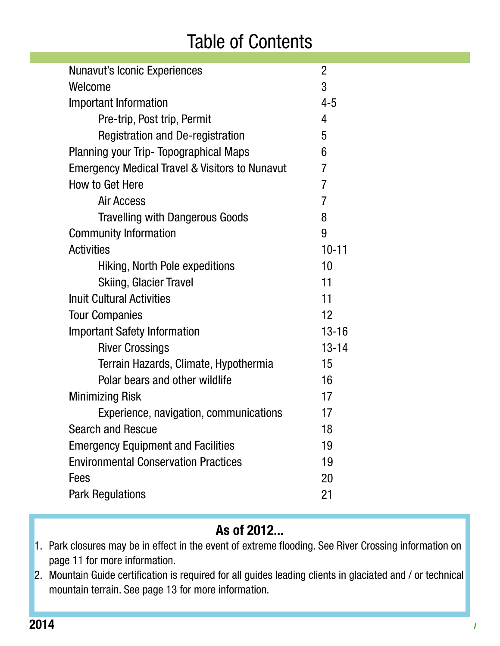# Table of Contents

| <b>Nunavut's Iconic Experiences</b>                       | $\overline{2}$ |
|-----------------------------------------------------------|----------------|
| Welcome                                                   |                |
| Important Information                                     |                |
| Pre-trip, Post trip, Permit                               | 4              |
| <b>Registration and De-registration</b>                   | 5              |
| <b>Planning your Trip- Topographical Maps</b>             | 6              |
| <b>Emergency Medical Travel &amp; Visitors to Nunavut</b> | 7              |
| How to Get Here                                           |                |
| <b>Air Access</b>                                         | 7              |
| <b>Travelling with Dangerous Goods</b>                    | 8              |
| <b>Community Information</b>                              | 9              |
| <b>Activities</b>                                         | $10 - 11$      |
| Hiking, North Pole expeditions                            | 10             |
| <b>Skiing, Glacier Travel</b>                             | 11             |
| <b>Inuit Cultural Activities</b>                          | 11             |
| <b>Tour Companies</b>                                     | 12             |
| <b>Important Safety Information</b>                       | $13 - 16$      |
| <b>River Crossings</b>                                    | $13 - 14$      |
| Terrain Hazards, Climate, Hypothermia                     | 15             |
| Polar bears and other wildlife                            | 16             |
| <b>Minimizing Risk</b>                                    | 17             |
| Experience, navigation, communications                    | 17             |
| <b>Search and Rescue</b>                                  | 18             |
| <b>Emergency Equipment and Facilities</b>                 | 19             |
| <b>Environmental Conservation Practices</b>               |                |
| Fees                                                      | 20             |
| <b>Park Regulations</b>                                   |                |
|                                                           |                |

# **As of 2012...**

- 1. Park closures may be in effect in the event of extreme flooding. See River Crossing information on page 11 for more information.
- 2. Mountain Guide certification is required for all guides leading clients in glaciated and / or technical mountain terrain. See page 13 for more information.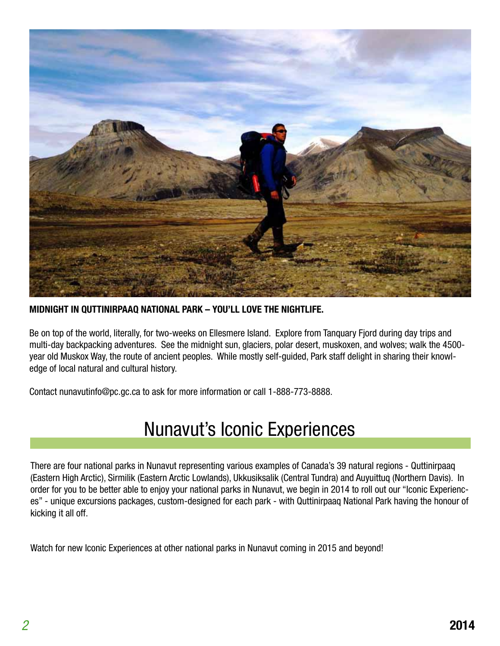

**MIDNIGHT IN QUTTINIRPAAQ NATIONAL PARK – YOU'LL LOVE THE NIGHTLIFE.**

Be on top of the world, literally, for two-weeks on Ellesmere Island. Explore from Tanquary Fjord during day trips and multi-day backpacking adventures. See the midnight sun, glaciers, polar desert, muskoxen, and wolves; walk the 4500 year old Muskox Way, the route of ancient peoples. While mostly self-guided, Park staff delight in sharing their knowledge of local natural and cultural history.

Contact nunavutinfo@pc.gc.ca to ask for more information or call 1-888-773-8888.

# Nunavut's Iconic Experiences

There are four national parks in Nunavut representing various examples of Canada's 39 natural regions - Quttinirpaaq (Eastern High Arctic), Sirmilik (Eastern Arctic Lowlands), Ukkusiksalik (Central Tundra) and Auyuittuq (Northern Davis). In order for you to be better able to enjoy your national parks in Nunavut, we begin in 2014 to roll out our "Iconic Experiences" - unique excursions packages, custom-designed for each park - with Quttinirpaaq National Park having the honour of kicking it all off.

Watch for new Iconic Experiences at other national parks in Nunavut coming in 2015 and beyond!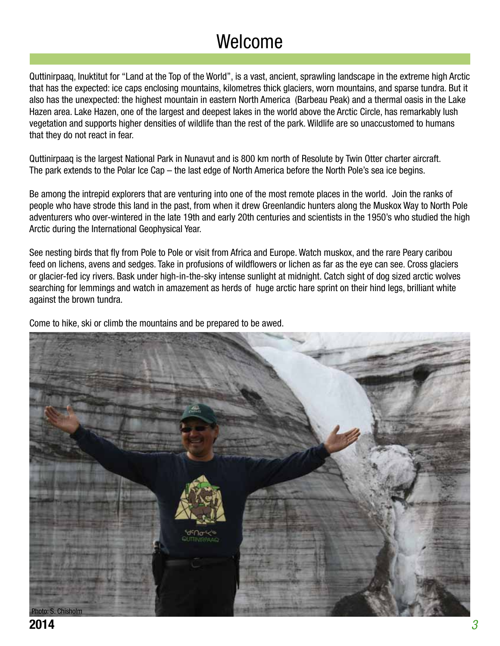# Welcome

Quttinirpaaq, Inuktitut for "Land at the Top of the World", is a vast, ancient, sprawling landscape in the extreme high Arctic that has the expected: ice caps enclosing mountains, kilometres thick glaciers, worn mountains, and sparse tundra. But it also has the unexpected: the highest mountain in eastern North America (Barbeau Peak) and a thermal oasis in the Lake Hazen area. Lake Hazen, one of the largest and deepest lakes in the world above the Arctic Circle, has remarkably lush vegetation and supports higher densities of wildlife than the rest of the park. Wildlife are so unaccustomed to humans that they do not react in fear.

Quttinirpaaq is the largest National Park in Nunavut and is 800 km north of Resolute by Twin Otter charter aircraft. The park extends to the Polar Ice Cap – the last edge of North America before the North Pole's sea ice begins.

Be among the intrepid explorers that are venturing into one of the most remote places in the world. Join the ranks of people who have strode this land in the past, from when it drew Greenlandic hunters along the Muskox Way to North Pole adventurers who over-wintered in the late 19th and early 20th centuries and scientists in the 1950's who studied the high Arctic during the International Geophysical Year.

See nesting birds that fly from Pole to Pole or visit from Africa and Europe. Watch muskox, and the rare Peary caribou feed on lichens, avens and sedges. Take in profusions of wildflowers or lichen as far as the eye can see. Cross glaciers or glacier-fed icy rivers. Bask under high-in-the-sky intense sunlight at midnight. Catch sight of dog sized arctic wolves searching for lemmings and watch in amazement as herds of huge arctic hare sprint on their hind legs, brilliant white against the brown tundra.

Come to hike, ski or climb the mountains and be prepared to be awed.

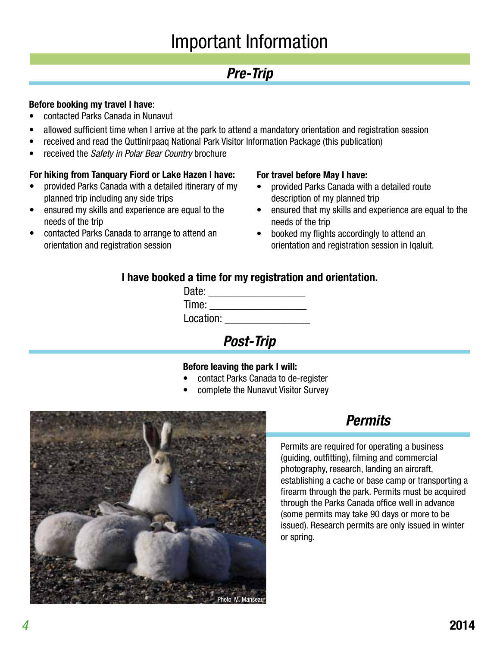# Important Information

# **Pre-Trip**

### **Before booking my travel I have**:

- contacted Parks Canada in Nunavut
- allowed sufficient time when I arrive at the park to attend a mandatory orientation and registration session
- received and read the Quttinirpaaq National Park Visitor Information Package (this publication)
- received the Safety in Polar Bear Country brochure

### **For hiking from Tanquary Fiord or Lake Hazen I have:**

- provided Parks Canada with a detailed itinerary of my planned trip including any side trips
- ensured my skills and experience are equal to the needs of the trip
- contacted Parks Canada to arrange to attend an orientation and registration session

#### **For travel before May I have:**

- provided Parks Canada with a detailed route description of my planned trip
- ensured that my skills and experience are equal to the needs of the trip
- booked my flights accordingly to attend an orientation and registration session in Iqaluit.

### **I have booked a time for my registration and orientation.**

| Date:     |  |
|-----------|--|
| Time:     |  |
| Location: |  |
|           |  |

**Post-Trip**

#### **Before leaving the park I will:**

- contact Parks Canada to de-register
- complete the Nunavut Visitor Survey



# **Permits**

Permits are required for operating a business (guiding, outfitting), filming and commercial photography, research, landing an aircraft, establishing a cache or base camp or transporting a firearm through the park. Permits must be acquired through the Parks Canada office well in advance (some permits may take 90 days or more to be issued). Research permits are only issued in winter or spring.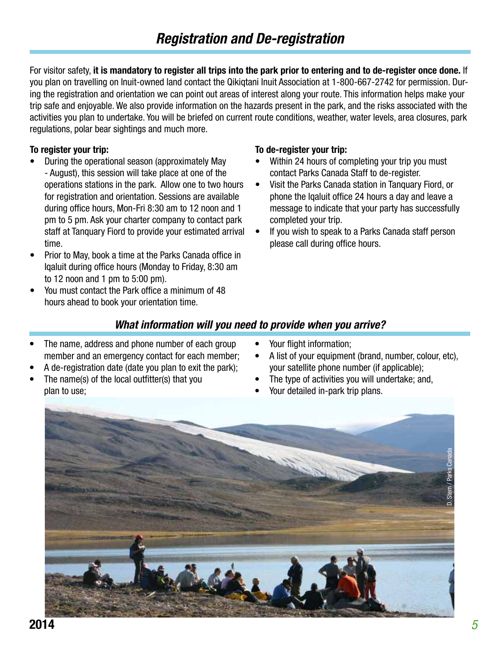For visitor safety, **it is mandatory to register all trips into the park prior to entering and to de-register once done.** If you plan on travelling on Inuit-owned land contact the Qikiqtani Inuit Association at 1-800-667-2742 for permission. During the registration and orientation we can point out areas of interest along your route. This information helps make your trip safe and enjoyable. We also provide information on the hazards present in the park, and the risks associated with the activities you plan to undertake. You will be briefed on current route conditions, weather, water levels, area closures, park regulations, polar bear sightings and much more.

#### **To register your trip:**

- During the operational season (approximately May - August), this session will take place at one of the operations stations in the park. Allow one to two hours for registration and orientation. Sessions are available during office hours, Mon-Fri 8:30 am to 12 noon and 1 pm to 5 pm. Ask your charter company to contact park staff at Tanquary Fiord to provide your estimated arrival time.
- Prior to May, book a time at the Parks Canada office in Iqaluit during office hours (Monday to Friday, 8:30 am to 12 noon and 1 pm to 5:00 pm).
- You must contact the Park office a minimum of 48 hours ahead to book your orientation time.

#### **To de-register your trip:**

- Within 24 hours of completing your trip you must contact Parks Canada Staff to de-register.
- Visit the Parks Canada station in Tanquary Fiord, or phone the Iqaluit office 24 hours a day and leave a message to indicate that your party has successfully completed your trip.
- If you wish to speak to a Parks Canada staff person please call during office hours.

### **What information will you need to provide when you arrive?**

- The name, address and phone number of each group member and an emergency contact for each member;
- A de-registration date (date you plan to exit the park);
- The name(s) of the local outfitter(s) that you plan to use;
- Your flight information;
- A list of your equipment (brand, number, colour, etc), your satellite phone number (if applicable);
- The type of activities you will undertake; and,
- Your detailed in-park trip plans.

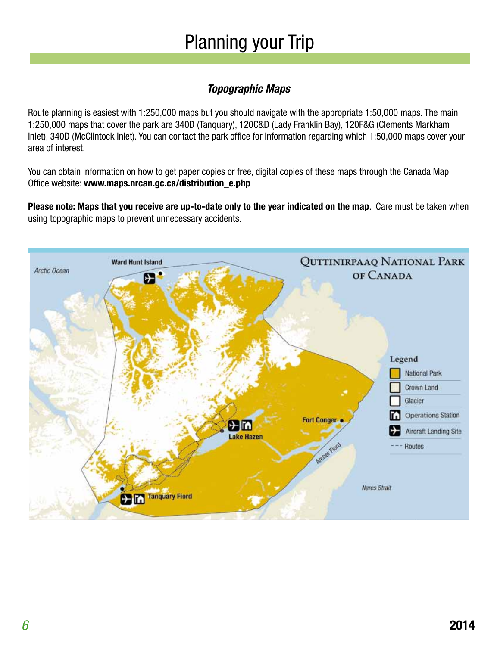# Planning your Trip

# **Topographic Maps**

Route planning is easiest with 1:250,000 maps but you should navigate with the appropriate 1:50,000 maps. The main 1:250,000 maps that cover the park are 340D (Tanquary), 120C&D (Lady Franklin Bay), 120F&G (Clements Markham Inlet), 340D (McClintock Inlet). You can contact the park office for information regarding which 1:50,000 maps cover your area of interest.

You can obtain information on how to get paper copies or free, digital copies of these maps through the Canada Map Office website: **www.maps.nrcan.gc.ca/distribution\_e.php**

**Please note: Maps that you receive are up-to-date only to the year indicated on the map**. Care must be taken when using topographic maps to prevent unnecessary accidents.

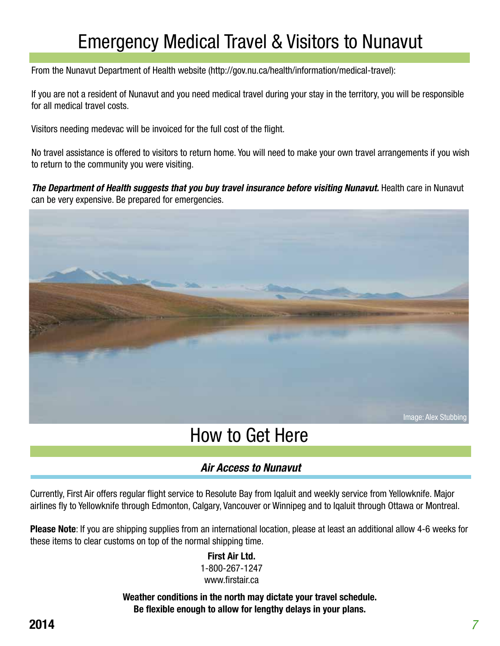# Emergency Medical Travel & Visitors to Nunavut

From the Nunavut Department of Health website (http://gov.nu.ca/health/information/medical-travel):

If you are not a resident of Nunavut and you need medical travel during your stay in the territory, you will be responsible for all medical travel costs.

Visitors needing medevac will be invoiced for the full cost of the flight.

No travel assistance is offered to visitors to return home. You will need to make your own travel arrangements if you wish to return to the community you were visiting.

**The Department of Health suggests that you buy travel insurance before visiting Nunavut.** Health care in Nunavut can be very expensive. Be prepared for emergencies.



# How to Get Here

### **Air Access to Nunavut**

Currently, First Air offers regular flight service to Resolute Bay from Iqaluit and weekly service from Yellowknife. Major airlines fly to Yellowknife through Edmonton, Calgary, Vancouver or Winnipeg and to Iqaluit through Ottawa or Montreal.

**Please Note**: If you are shipping supplies from an international location, please at least an additional allow 4-6 weeks for these items to clear customs on top of the normal shipping time.

#### **First Air Ltd.**

1-800-267-1247 www.firstair.ca

**Weather conditions in the north may dictate your travel schedule. Be flexible enough to allow for lengthy delays in your plans.**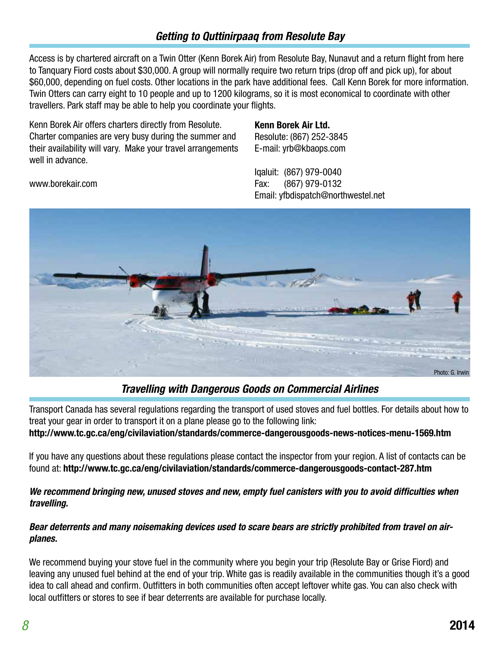### **Getting to Quttinirpaaq from Resolute Bay**

Access is by chartered aircraft on a Twin Otter (Kenn Borek Air) from Resolute Bay, Nunavut and a return flight from here to Tanquary Fiord costs about \$30,000. A group will normally require two return trips (drop off and pick up), for about \$60,000, depending on fuel costs. Other locations in the park have additional fees. Call Kenn Borek for more information. Twin Otters can carry eight to 10 people and up to 1200 kilograms, so it is most economical to coordinate with other travellers. Park staff may be able to help you coordinate your flights.

Kenn Borek Air offers charters directly from Resolute. Charter companies are very busy during the summer and their availability will vary. Make your travel arrangements well in advance.

www.borekair.com

#### **Kenn Borek Air Ltd.**

Resolute: (867) 252-3845 E-mail: yrb@kbaops.com

Iqaluit: (867) 979-0040 Fax: (867) 979-0132 Email: yfbdispatch@northwestel.net



### **Travelling with Dangerous Goods on Commercial Airlines**

Transport Canada has several regulations regarding the transport of used stoves and fuel bottles. For details about how to treat your gear in order to transport it on a plane please go to the following link: **http://www.tc.gc.ca/eng/civilaviation/standards/commerce-dangerousgoods-news-notices-menu-1569.htm**

If you have any questions about these regulations please contact the inspector from your region. A list of contacts can be found at: **http://www.tc.gc.ca/eng/civilaviation/standards/commerce-dangerousgoods-contact-287.htm**

#### **We recommend bringing new, unused stoves and new, empty fuel canisters with you to avoid difficulties when travelling.**

#### **Bear deterrents and many noisemaking devices used to scare bears are strictly prohibited from travel on airplanes.**

We recommend buying your stove fuel in the community where you begin your trip (Resolute Bay or Grise Fiord) and leaving any unused fuel behind at the end of your trip. White gas is readily available in the communities though it's a good idea to call ahead and confirm. Outfitters in both communities often accept leftover white gas. You can also check with local outfitters or stores to see if bear deterrents are available for purchase locally.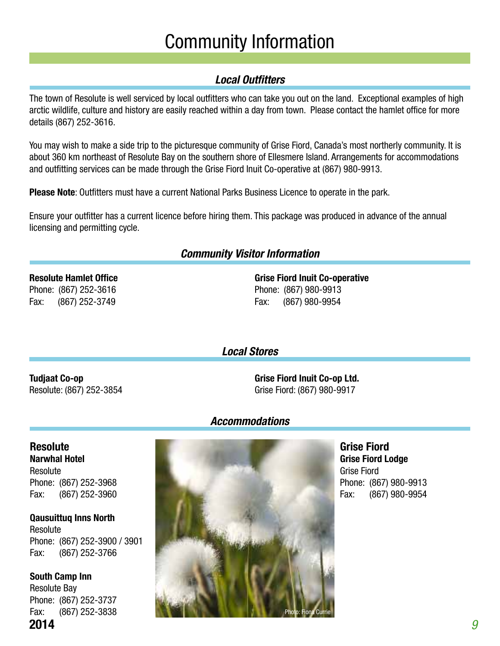# Community Information

# **Local Outfitters**

The town of Resolute is well serviced by local outfitters who can take you out on the land. Exceptional examples of high arctic wildlife, culture and history are easily reached within a day from town. Please contact the hamlet office for more details (867) 252-3616.

You may wish to make a side trip to the picturesque community of Grise Fiord, Canada's most northerly community. It is about 360 km northeast of Resolute Bay on the southern shore of Ellesmere Island. Arrangements for accommodations and outfitting services can be made through the Grise Fiord Inuit Co-operative at (867) 980-9913.

**Please Note**: Outfitters must have a current National Parks Business Licence to operate in the park.

Ensure your outfitter has a current licence before hiring them. This package was produced in advance of the annual licensing and permitting cycle.

### **Community Visitor Information**

### **Resolute Hamlet Office** Phone: (867) 252-3616

Fax: (867) 252-3749

**Grise Fiord Inuit Co-operative** Phone: (867) 980-9913 Fax: (867) 980-9954

**Local Stores**

### **Tudjaat Co-op** Resolute: (867) 252-3854

**Grise Fiord Inuit Co-op Ltd.** Grise Fiord: (867) 980-9917

### **Accommodations**

**Resolute Narwhal Hotel** Resolute Phone: (867) 252-3968 Fax: (867) 252-3960

**Qausuittuq Inns North**  Resolute Phone: (867) 252-3900 / 3901 Fax: (867) 252-3766

**2014 2014** 9 **South Camp Inn**  Resolute Bay Phone: (867) 252-3737 Fax: (867) 252-3838



**Grise Fiord Grise Fiord Lodge** Grise Fiord Phone: (867) 980-9913 Fax: (867) 980-9954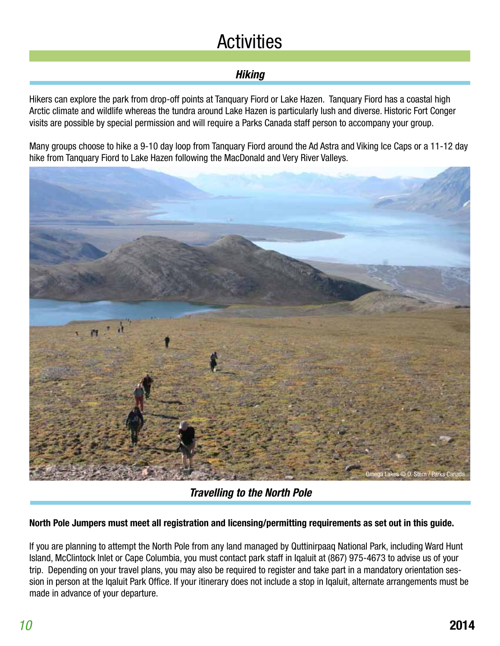# **Activities**

# **Hiking**

Hikers can explore the park from drop-off points at Tanquary Fiord or Lake Hazen. Tanquary Fiord has a coastal high Arctic climate and wildlife whereas the tundra around Lake Hazen is particularly lush and diverse. Historic Fort Conger visits are possible by special permission and will require a Parks Canada staff person to accompany your group.

Many groups choose to hike a 9-10 day loop from Tanquary Fiord around the Ad Astra and Viking Ice Caps or a 11-12 day hike from Tanquary Fiord to Lake Hazen following the MacDonald and Very River Valleys.



**Travelling to the North Pole**

#### **North Pole Jumpers must meet all registration and licensing/permitting requirements as set out in this guide.**

If you are planning to attempt the North Pole from any land managed by Quttinirpaaq National Park, including Ward Hunt Island, McClintock Inlet or Cape Columbia, you must contact park staff in Iqaluit at (867) 975-4673 to advise us of your trip. Depending on your travel plans, you may also be required to register and take part in a mandatory orientation session in person at the Iqaluit Park Office. If your itinerary does not include a stop in Iqaluit, alternate arrangements must be made in advance of your departure.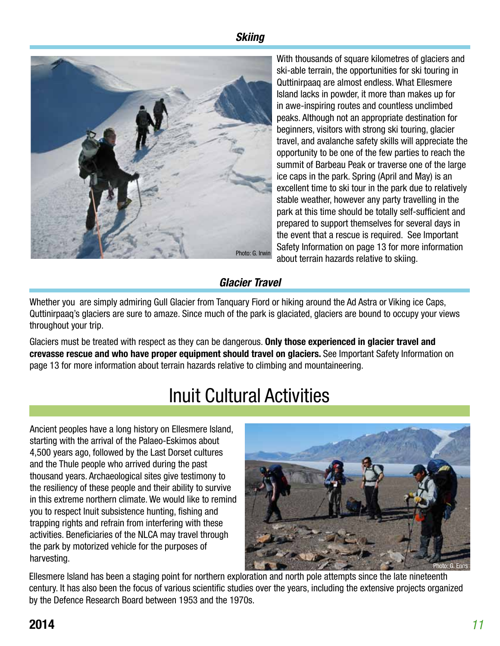### **Skiing**



With thousands of square kilometres of glaciers and ski-able terrain, the opportunities for ski touring in Quttinirpaaq are almost endless. What Ellesmere Island lacks in powder, it more than makes up for in awe-inspiring routes and countless unclimbed peaks. Although not an appropriate destination for beginners, visitors with strong ski touring, glacier travel, and avalanche safety skills will appreciate the opportunity to be one of the few parties to reach the summit of Barbeau Peak or traverse one of the large ice caps in the park. Spring (April and May) is an excellent time to ski tour in the park due to relatively stable weather, however any party travelling in the park at this time should be totally self-sufficient and prepared to support themselves for several days in the event that a rescue is required. See Important Safety Information on page 13 for more information about terrain hazards relative to skiing.

### **Glacier Travel**

Whether you are simply admiring Gull Glacier from Tanquary Fiord or hiking around the Ad Astra or Viking ice Caps, Quttinirpaaq's glaciers are sure to amaze. Since much of the park is glaciated, glaciers are bound to occupy your views throughout your trip.

Glaciers must be treated with respect as they can be dangerous. **Only those experienced in glacier travel and crevasse rescue and who have proper equipment should travel on glaciers.** See Important Safety Information on page 13 for more information about terrain hazards relative to climbing and mountaineering.

# Inuit Cultural Activities

Ancient peoples have a long history on Ellesmere Island, starting with the arrival of the Palaeo-Eskimos about 4,500 years ago, followed by the Last Dorset cultures and the Thule people who arrived during the past thousand years. Archaeological sites give testimony to the resiliency of these people and their ability to survive in this extreme northern climate. We would like to remind you to respect Inuit subsistence hunting, fishing and trapping rights and refrain from interfering with these activities. Beneficiaries of the NLCA may travel through the park by motorized vehicle for the purposes of harvesting.



Ellesmere Island has been a staging point for northern exploration and north pole attempts since the late nineteenth century. It has also been the focus of various scientific studies over the years, including the extensive projects organized by the Defence Research Board between 1953 and the 1970s.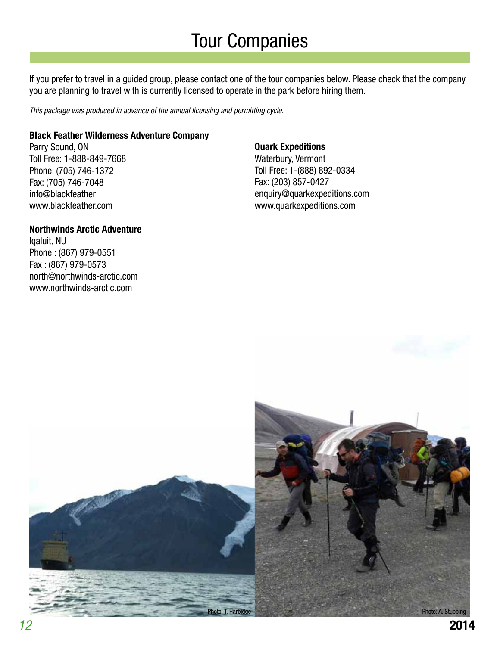# Tour Companies

If you prefer to travel in a guided group, please contact one of the tour companies below. Please check that the company you are planning to travel with is currently licensed to operate in the park before hiring them.

This package was produced in advance of the annual licensing and permitting cycle.

#### **Black Feather Wilderness Adventure Company**

Parry Sound, ON Toll Free: 1-888-849-7668 Phone: (705) 746-1372 Fax: (705) 746-7048 info@blackfeather www.blackfeather.com

#### **Northwinds Arctic Adventure**

Iqaluit, NU Phone : (867) 979-0551 Fax : (867) 979-0573 north@northwinds-arctic.com www.northwinds-arctic.com

#### **Quark Expeditions**

Waterbury, Vermont Toll Free: 1-(888) 892-0334 Fax: (203) 857-0427 enquiry@quarkexpeditions.com www.quarkexpeditions.com

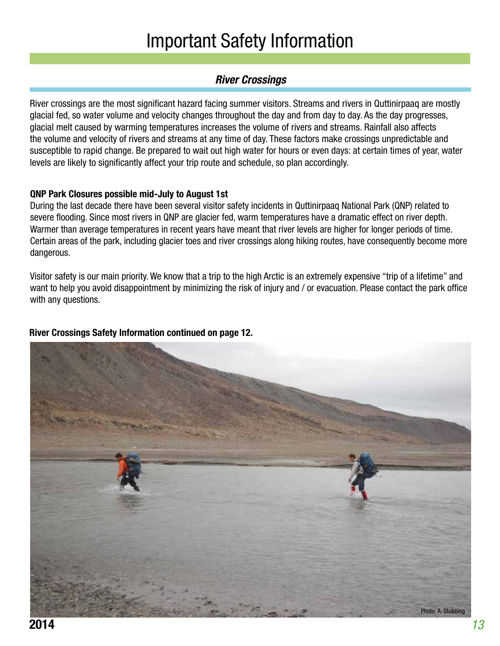# Important Safety Information

### **River Crossings**

River crossings are the most significant hazard facing summer visitors. Streams and rivers in Quttinirpaaq are mostly glacial fed, so water volume and velocity changes throughout the day and from day to day. As the day progresses, glacial melt caused by warming temperatures increases the volume of rivers and streams. Rainfall also affects the volume and velocity of rivers and streams at any time of day. These factors make crossings unpredictable and susceptible to rapid change. Be prepared to wait out high water for hours or even days: at certain times of year, water levels are likely to significantly affect your trip route and schedule, so plan accordingly.

#### **QNP Park Closures possible mid-July to August 1st**

During the last decade there have been several visitor safety incidents in Quttinirpaaq National Park (QNP) related to severe flooding. Since most rivers in QNP are glacier fed, warm temperatures have a dramatic effect on river depth. Warmer than average temperatures in recent years have meant that river levels are higher for longer periods of time. Certain areas of the park, including glacier toes and river crossings along hiking routes, have consequently become more dangerous.

Visitor safety is our main priority. We know that a trip to the high Arctic is an extremely expensive "trip of a lifetime" and want to help you avoid disappointment by minimizing the risk of injury and / or evacuation. Please contact the park office with any questions.

### **River Crossings Safety Information continued on page 12.**

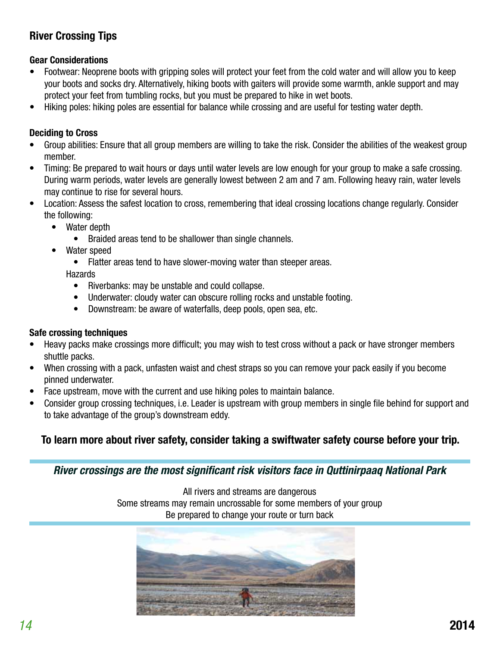# **River Crossing Tips**

#### **Gear Considerations**

- Footwear: Neoprene boots with gripping soles will protect your feet from the cold water and will allow you to keep your boots and socks dry. Alternatively, hiking boots with gaiters will provide some warmth, ankle support and may protect your feet from tumbling rocks, but you must be prepared to hike in wet boots.
- Hiking poles: hiking poles are essential for balance while crossing and are useful for testing water depth.

#### **Deciding to Cross**

- Group abilities: Ensure that all group members are willing to take the risk. Consider the abilities of the weakest group member.
- Timing: Be prepared to wait hours or days until water levels are low enough for your group to make a safe crossing. During warm periods, water levels are generally lowest between 2 am and 7 am. Following heavy rain, water levels may continue to rise for several hours.
- Location: Assess the safest location to cross, remembering that ideal crossing locations change regularly. Consider the following:
	- Water depth
		- Braided areas tend to be shallower than single channels.
	- Water speed
		- Flatter areas tend to have slower-moving water than steeper areas.

**Hazards** 

- Riverbanks: may be unstable and could collapse.
- Underwater: cloudy water can obscure rolling rocks and unstable footing.
- Downstream: be aware of waterfalls, deep pools, open sea, etc.

#### **Safe crossing techniques**

- Heavy packs make crossings more difficult; you may wish to test cross without a pack or have stronger members shuttle packs.
- When crossing with a pack, unfasten waist and chest straps so you can remove your pack easily if you become pinned underwater.
- Face upstream, move with the current and use hiking poles to maintain balance.
- Consider group crossing techniques, i.e. Leader is upstream with group members in single file behind for support and to take advantage of the group's downstream eddy.

### **To learn more about river safety, consider taking a swiftwater safety course before your trip.**

**River crossings are the most significant risk visitors face in Quttinirpaaq National Park**

All rivers and streams are dangerous Some streams may remain uncrossable for some members of your group Be prepared to change your route or turn back

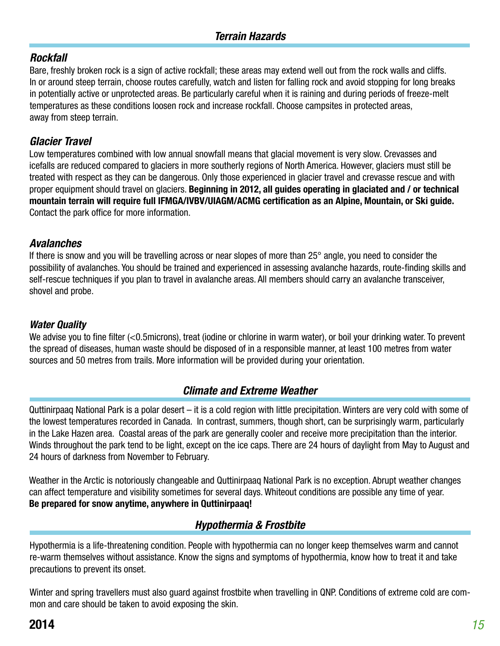### **Rockfall**

Bare, freshly broken rock is a sign of active rockfall; these areas may extend well out from the rock walls and cliffs. In or around steep terrain, choose routes carefully, watch and listen for falling rock and avoid stopping for long breaks in potentially active or unprotected areas. Be particularly careful when it is raining and during periods of freeze-melt temperatures as these conditions loosen rock and increase rockfall. Choose campsites in protected areas, away from steep terrain.

### **Glacier Travel**

Low temperatures combined with low annual snowfall means that glacial movement is very slow. Crevasses and icefalls are reduced compared to glaciers in more southerly regions of North America. However, glaciers must still be treated with respect as they can be dangerous. Only those experienced in glacier travel and crevasse rescue and with proper equipment should travel on glaciers. **Beginning in 2012, all guides operating in glaciated and / or technical mountain terrain will require full IFMGA/IVBV/UIAGM/ACMG certification as an Alpine, Mountain, or Ski guide.**  Contact the park office for more information.

### **Avalanches**

If there is snow and you will be travelling across or near slopes of more than 25° angle, you need to consider the possibility of avalanches. You should be trained and experienced in assessing avalanche hazards, route-finding skills and self-rescue techniques if you plan to travel in avalanche areas. All members should carry an avalanche transceiver, shovel and probe.

### **Water Quality**

We advise you to fine filter (<0.5microns), treat (iodine or chlorine in warm water), or boil your drinking water. To prevent the spread of diseases, human waste should be disposed of in a responsible manner, at least 100 metres from water sources and 50 metres from trails. More information will be provided during your orientation.

### **Climate and Extreme Weather**

Quttinirpaaq National Park is a polar desert – it is a cold region with little precipitation. Winters are very cold with some of the lowest temperatures recorded in Canada. In contrast, summers, though short, can be surprisingly warm, particularly in the Lake Hazen area. Coastal areas of the park are generally cooler and receive more precipitation than the interior. Winds throughout the park tend to be light, except on the ice caps. There are 24 hours of daylight from May to August and 24 hours of darkness from November to February.

Weather in the Arctic is notoriously changeable and Quttinirpaaq National Park is no exception. Abrupt weather changes can affect temperature and visibility sometimes for several days. Whiteout conditions are possible any time of year. **Be prepared for snow anytime, anywhere in Quttinirpaaq!**

### **Hypothermia & Frostbite**

Hypothermia is a life-threatening condition. People with hypothermia can no longer keep themselves warm and cannot re-warm themselves without assistance. Know the signs and symptoms of hypothermia, know how to treat it and take precautions to prevent its onset.

Winter and spring travellers must also guard against frostbite when travelling in QNP. Conditions of extreme cold are common and care should be taken to avoid exposing the skin.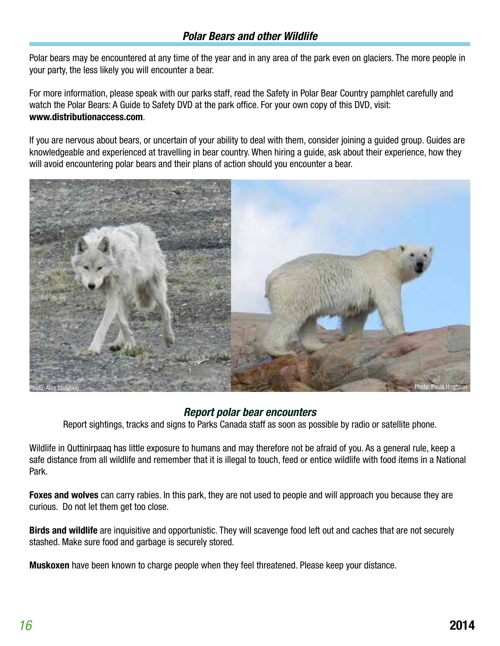### **Polar Bears and other Wildlife**

Polar bears may be encountered at any time of the year and in any area of the park even on glaciers. The more people in your party, the less likely you will encounter a bear.

For more information, please speak with our parks staff, read the Safety in Polar Bear Country pamphlet carefully and watch the Polar Bears: A Guide to Safety DVD at the park office. For your own copy of this DVD, visit: **www.distributionaccess.com**.

If you are nervous about bears, or uncertain of your ability to deal with them, consider joining a guided group. Guides are knowledgeable and experienced at travelling in bear country. When hiring a guide, ask about their experience, how they will avoid encountering polar bears and their plans of action should you encounter a bear.



### **Report polar bear encounters**

Report sightings, tracks and signs to Parks Canada staff as soon as possible by radio or satellite phone.

Wildlife in Quttinirpaaq has little exposure to humans and may therefore not be afraid of you. As a general rule, keep a safe distance from all wildlife and remember that it is illegal to touch, feed or entice wildlife with food items in a National Park.

**Foxes and wolves** can carry rabies. In this park, they are not used to people and will approach you because they are curious. Do not let them get too close.

**Birds and wildlife** are inquisitive and opportunistic. They will scavenge food left out and caches that are not securely stashed. Make sure food and garbage is securely stored.

**Muskoxen** have been known to charge people when they feel threatened. Please keep your distance.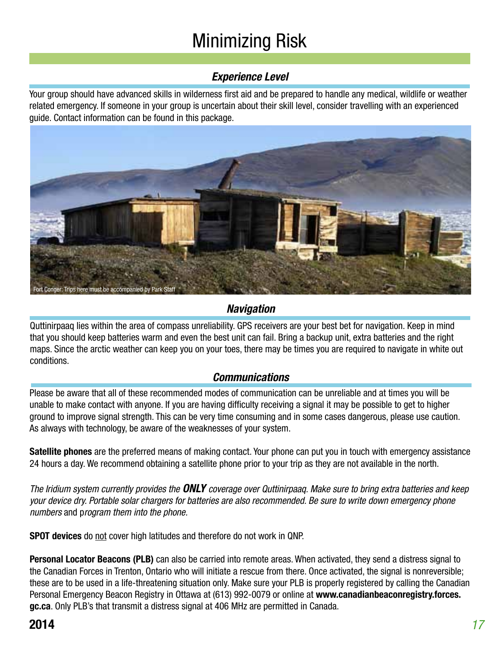# Minimizing Risk

### **Experience Level**

Your group should have advanced skills in wilderness first aid and be prepared to handle any medical, wildlife or weather related emergency. If someone in your group is uncertain about their skill level, consider travelling with an experienced guide. Contact information can be found in this package.



# **Navigation**

Quttinirpaaq lies within the area of compass unreliability. GPS receivers are your best bet for navigation. Keep in mind that you should keep batteries warm and even the best unit can fail. Bring a backup unit, extra batteries and the right maps. Since the arctic weather can keep you on your toes, there may be times you are required to navigate in white out conditions.

### **Communications**

Please be aware that all of these recommended modes of communication can be unreliable and at times you will be unable to make contact with anyone. If you are having difficulty receiving a signal it may be possible to get to higher ground to improve signal strength. This can be very time consuming and in some cases dangerous, please use caution. As always with technology, be aware of the weaknesses of your system.

**Satellite phones** are the preferred means of making contact. Your phone can put you in touch with emergency assistance 24 hours a day. We recommend obtaining a satellite phone prior to your trip as they are not available in the north.

The Iridium system currently provides the **ONLY** coverage over Quttinirpaaq. Make sure to bring extra batteries and keep your device dry. Portable solar chargers for batteries are also recommended. Be sure to write down emergency phone numbers and program them into the phone.

**SPOT devices** do not cover high latitudes and therefore do not work in QNP.

**Personal Locator Beacons (PLB)** can also be carried into remote areas. When activated, they send a distress signal to the Canadian Forces in Trenton, Ontario who will initiate a rescue from there. Once activated, the signal is nonreversible; these are to be used in a life-threatening situation only. Make sure your PLB is properly registered by calling the Canadian Personal Emergency Beacon Registry in Ottawa at (613) 992-0079 or online at **www.canadianbeaconregistry.forces. gc.ca**. Only PLB's that transmit a distress signal at 406 MHz are permitted in Canada.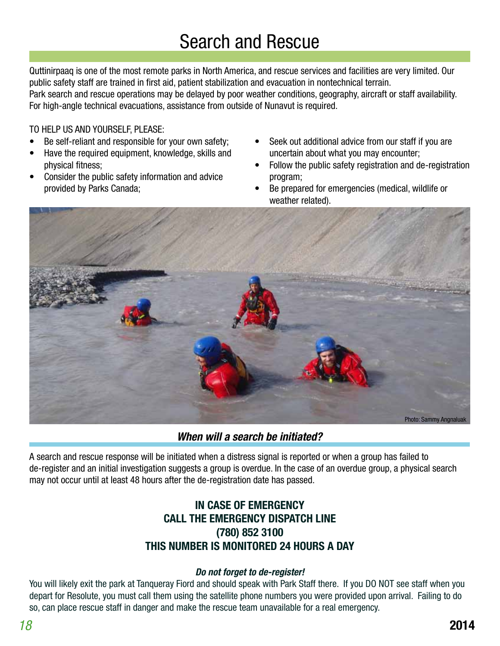# **Search and Rescue**

Quttinirpaaq is one of the most remote parks in North America, and rescue services and facilities are very limited. Our public safety staff are trained in first aid, patient stabilization and evacuation in nontechnical terrain. Park search and rescue operations may be delayed by poor weather conditions, geography, aircraft or staff availability. For high-angle technical evacuations, assistance from outside of Nunavut is required.

#### TO HELP US AND YOURSELF, PLEASE:

- Be self-reliant and responsible for your own safety;
- Have the required equipment, knowledge, skills and physical fitness;
- Consider the public safety information and advice provided by Parks Canada;
- Seek out additional advice from our staff if you are uncertain about what you may encounter;
- Follow the public safety registration and de-registration program;
- Be prepared for emergencies (medical, wildlife or weather related).



**When will a search be initiated?**

A search and rescue response will be initiated when a distress signal is reported or when a group has failed to de-register and an initial investigation suggests a group is overdue. In the case of an overdue group, a physical search may not occur until at least 48 hours after the de-registration date has passed.

### **IN CASE OF EMERGENCY CALL THE EMERGENCY DISPATCH LINE (780) 852 3100 THIS NUMBER IS MONITORED 24 HOURS A DAY**

#### **Do not forget to de-register!**

You will likely exit the park at Tanqueray Fiord and should speak with Park Staff there. If you DO NOT see staff when you depart for Resolute, you must call them using the satellite phone numbers you were provided upon arrival. Failing to do so, can place rescue staff in danger and make the rescue team unavailable for a real emergency.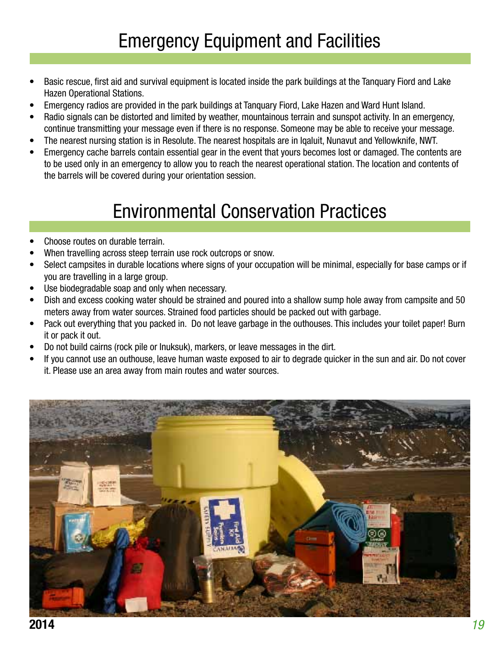- Basic rescue, first aid and survival equipment is located inside the park buildings at the Tanquary Fiord and Lake Hazen Operational Stations.
- Emergency radios are provided in the park buildings at Tanquary Fiord, Lake Hazen and Ward Hunt Island.
- Radio signals can be distorted and limited by weather, mountainous terrain and sunspot activity. In an emergency, continue transmitting your message even if there is no response. Someone may be able to receive your message.
- The nearest nursing station is in Resolute. The nearest hospitals are in Iqaluit, Nunavut and Yellowknife, NWT.
- Emergency cache barrels contain essential gear in the event that yours becomes lost or damaged. The contents are to be used only in an emergency to allow you to reach the nearest operational station. The location and contents of the barrels will be covered during your orientation session.

# Environmental Conservation Practices

- Choose routes on durable terrain.
- When travelling across steep terrain use rock outcrops or snow.
- Select campsites in durable locations where signs of your occupation will be minimal, especially for base camps or if you are travelling in a large group.
- Use biodegradable soap and only when necessary.
- Dish and excess cooking water should be strained and poured into a shallow sump hole away from campsite and 50 meters away from water sources. Strained food particles should be packed out with garbage.
- Pack out everything that you packed in. Do not leave garbage in the outhouses. This includes your toilet paper! Burn it or pack it out.
- Do not build cairns (rock pile or Inuksuk), markers, or leave messages in the dirt.
- If you cannot use an outhouse, leave human waste exposed to air to degrade quicker in the sun and air. Do not cover it. Please use an area away from main routes and water sources.

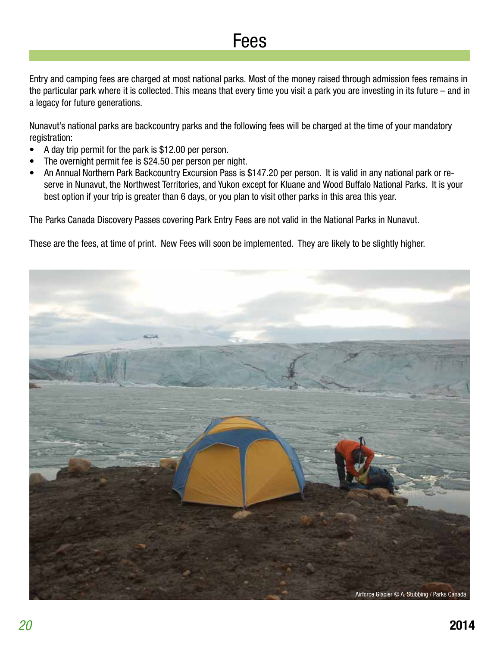# Fees

Entry and camping fees are charged at most national parks. Most of the money raised through admission fees remains in the particular park where it is collected. This means that every time you visit a park you are investing in its future – and in a legacy for future generations.

Nunavut's national parks are backcountry parks and the following fees will be charged at the time of your mandatory registration:

- A day trip permit for the park is \$12.00 per person.
- The overnight permit fee is \$24.50 per person per night.
- An Annual Northern Park Backcountry Excursion Pass is \$147.20 per person. It is valid in any national park or reserve in Nunavut, the Northwest Territories, and Yukon except for Kluane and Wood Buffalo National Parks. It is your best option if your trip is greater than 6 days, or you plan to visit other parks in this area this year.

The Parks Canada Discovery Passes covering Park Entry Fees are not valid in the National Parks in Nunavut.

These are the fees, at time of print. New Fees will soon be implemented. They are likely to be slightly higher.

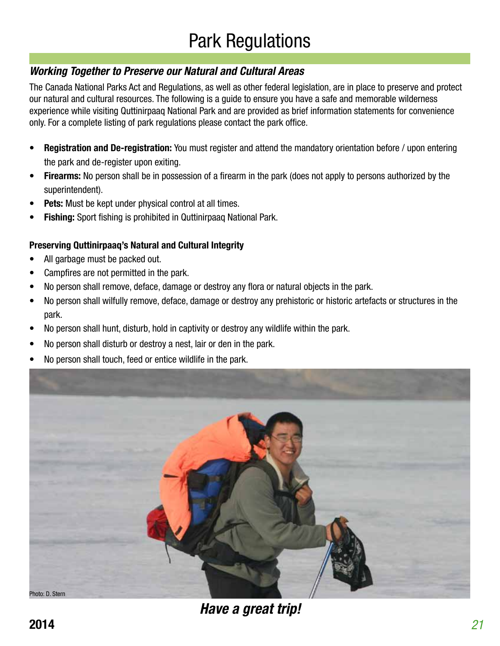# **Working Together to Preserve our Natural and Cultural Areas**

The Canada National Parks Act and Regulations, as well as other federal legislation, are in place to preserve and protect our natural and cultural resources. The following is a guide to ensure you have a safe and memorable wilderness experience while visiting Quttinirpaaq National Park and are provided as brief information statements for convenience only. For a complete listing of park regulations please contact the park office.

- **• Registration and De-registration:** You must register and attend the mandatory orientation before / upon entering the park and de-register upon exiting.
- **• Firearms:** No person shall be in possession of a firearm in the park (does not apply to persons authorized by the superintendent).
- **• Pets:** Must be kept under physical control at all times.
- **• Fishing:** Sport fishing is prohibited in Quttinirpaaq National Park.

### **Preserving Quttinirpaaq's Natural and Cultural Integrity**

- All garbage must be packed out.
- Campfires are not permitted in the park.
- No person shall remove, deface, damage or destroy any flora or natural objects in the park.
- No person shall wilfully remove, deface, damage or destroy any prehistoric or historic artefacts or structures in the park.
- No person shall hunt, disturb, hold in captivity or destroy any wildlife within the park.
- No person shall disturb or destroy a nest, lair or den in the park.
- No person shall touch, feed or entice wildlife in the park.



**Have a great trip!**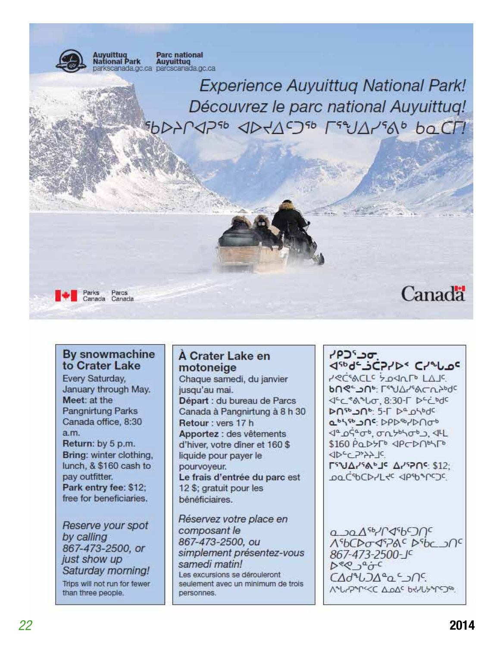

### By snowmachine to Crater Lake

Every Saturday, January through May. Meet: at the Pangnirtung Parks Canada office, 8:30  $a.m.$ 

Return: by 5 p.m. Bring: winter clothing, lunch, & \$160 cash to pay outfitter. Park entry fee: \$12; free for beneficiaries.

Reserve your spot by calling 867-473-2500, or just show up Saturday morning! Trips will not run for fewer than three people.

### A Crater Lake en motoneige

Chaque samedi, du janvier jusqu'au mai. Départ : du bureau de Parcs Canada à Pangnirtung à 8 h 30 Retour: vers 17 h Apportez : des vêtements d'hiver, votre diner et 160 \$ liquide pour payer le pourvoyeur. Le frais d'entrée du parc est 12 \$; gratuit pour les bénéficiaires.

Réservez votre place en composant le 867-473-2500, ou simplement présentez-vous samedi matin! Les excursions se dérouleront seulement avec un minimum de trois personnes.

יסב<sup>י</sup>כף JSbde\_SCP/DS C/2 Lac **PRESACLE SOSALELAR DUS: Lean Visual auto-Supe** JEC \* A \* Lo, 8:30-1 DEC bdc DO50 JOS 5-1 De OSOdc absto OC: DPD-0/DNob <u><1ª osed, avantista all</u>  $$160$   $PQ$   $P5F$   $QPCD$ **SIDEC 2522 IC** Γ<sup>ε</sup> ΝΔΖ<sup>ε</sup> Αν<sup>ερ</sup>ης \$12; pa CSOCD-L+C </PSOS/COC

 $0.30A$ sb/ $0.45D$ AS6CD0093ACDSbc 20C 867-473-2500-JC  $D^{\varrho}Q^{\alpha}$  $C\Delta d^4LDA^a\alpha^c$ **MALYPAPKKC ALOAS bRYLLYAPSTAR**